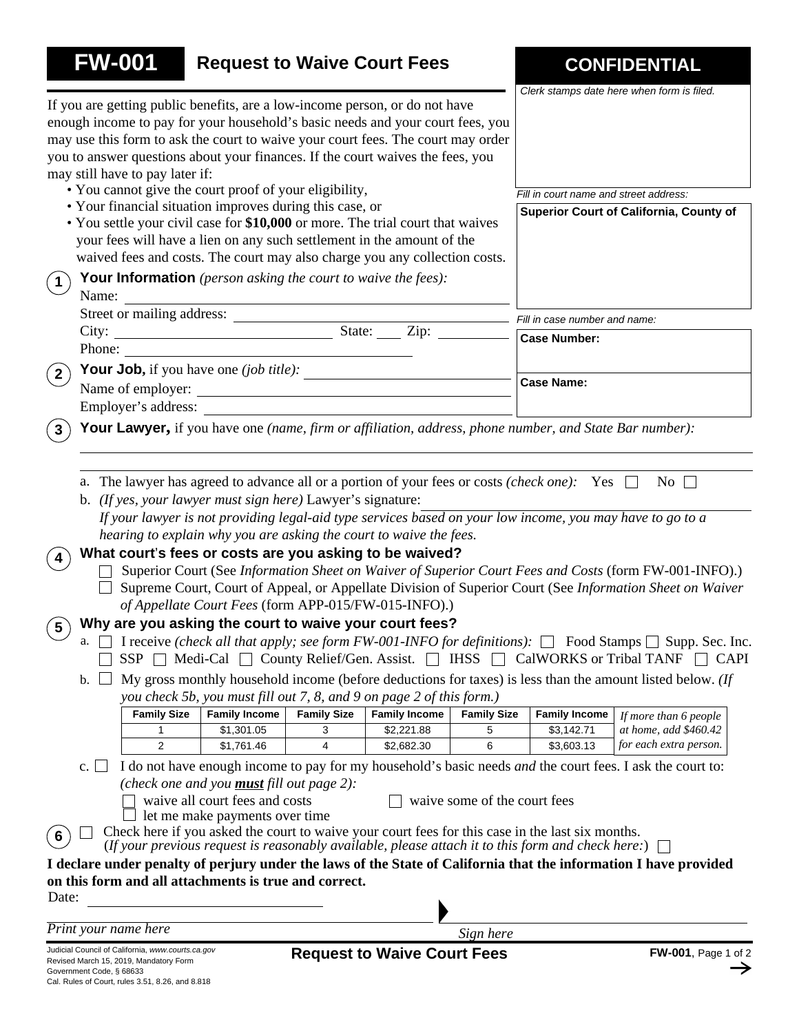| <b>FW-001</b>               |                                                                                                                                                                                                                                                                                                                                                                                                                                                                                      |                                                                                     |                                                       | <b>Request to Waive Court Fees</b>                                                                                                                                                                                                                                                                                                              |                    |                                                                                                                                                                                                      | <b>CONFIDENTIAL</b>                                                                                                                                                                                                                                                                                                                                                                                                                                                                                                                                                                                 |
|-----------------------------|--------------------------------------------------------------------------------------------------------------------------------------------------------------------------------------------------------------------------------------------------------------------------------------------------------------------------------------------------------------------------------------------------------------------------------------------------------------------------------------|-------------------------------------------------------------------------------------|-------------------------------------------------------|-------------------------------------------------------------------------------------------------------------------------------------------------------------------------------------------------------------------------------------------------------------------------------------------------------------------------------------------------|--------------------|------------------------------------------------------------------------------------------------------------------------------------------------------------------------------------------------------|-----------------------------------------------------------------------------------------------------------------------------------------------------------------------------------------------------------------------------------------------------------------------------------------------------------------------------------------------------------------------------------------------------------------------------------------------------------------------------------------------------------------------------------------------------------------------------------------------------|
|                             | may still have to pay later if:                                                                                                                                                                                                                                                                                                                                                                                                                                                      |                                                                                     |                                                       | If you are getting public benefits, are a low-income person, or do not have<br>enough income to pay for your household's basic needs and your court fees, you<br>may use this form to ask the court to waive your court fees. The court may order<br>you to answer questions about your finances. If the court waives the fees, you             |                    |                                                                                                                                                                                                      | Clerk stamps date here when form is filed.                                                                                                                                                                                                                                                                                                                                                                                                                                                                                                                                                          |
|                             |                                                                                                                                                                                                                                                                                                                                                                                                                                                                                      | • You cannot give the court proof of your eligibility,                              |                                                       |                                                                                                                                                                                                                                                                                                                                                 |                    | Fill in court name and street address:                                                                                                                                                               |                                                                                                                                                                                                                                                                                                                                                                                                                                                                                                                                                                                                     |
|                             |                                                                                                                                                                                                                                                                                                                                                                                                                                                                                      | • Your financial situation improves during this case, or                            |                                                       | • You settle your civil case for \$10,000 or more. The trial court that waives<br>your fees will have a lien on any such settlement in the amount of the<br>waived fees and costs. The court may also charge you any collection costs.                                                                                                          |                    |                                                                                                                                                                                                      | Superior Court of California, County of                                                                                                                                                                                                                                                                                                                                                                                                                                                                                                                                                             |
| $\left  \right $<br>Name:   |                                                                                                                                                                                                                                                                                                                                                                                                                                                                                      | <b>Your Information</b> (person asking the court to waive the fees):                |                                                       |                                                                                                                                                                                                                                                                                                                                                 |                    |                                                                                                                                                                                                      |                                                                                                                                                                                                                                                                                                                                                                                                                                                                                                                                                                                                     |
|                             |                                                                                                                                                                                                                                                                                                                                                                                                                                                                                      |                                                                                     |                                                       |                                                                                                                                                                                                                                                                                                                                                 |                    | Fill in case number and name:                                                                                                                                                                        |                                                                                                                                                                                                                                                                                                                                                                                                                                                                                                                                                                                                     |
|                             |                                                                                                                                                                                                                                                                                                                                                                                                                                                                                      |                                                                                     |                                                       |                                                                                                                                                                                                                                                                                                                                                 |                    | <b>Case Number:</b>                                                                                                                                                                                  |                                                                                                                                                                                                                                                                                                                                                                                                                                                                                                                                                                                                     |
| Phone:                      |                                                                                                                                                                                                                                                                                                                                                                                                                                                                                      |                                                                                     | <u> 1989 - Johann Stoff, fransk politik (d. 1989)</u> |                                                                                                                                                                                                                                                                                                                                                 |                    |                                                                                                                                                                                                      |                                                                                                                                                                                                                                                                                                                                                                                                                                                                                                                                                                                                     |
| $2^{\circ}$                 |                                                                                                                                                                                                                                                                                                                                                                                                                                                                                      |                                                                                     |                                                       | <b>Your Job,</b> if you have one ( <i>job title)</i> : $\frac{1}{1}$                                                                                                                                                                                                                                                                            |                    |                                                                                                                                                                                                      |                                                                                                                                                                                                                                                                                                                                                                                                                                                                                                                                                                                                     |
|                             |                                                                                                                                                                                                                                                                                                                                                                                                                                                                                      |                                                                                     |                                                       | Name of employer:                                                                                                                                                                                                                                                                                                                               |                    | <b>Case Name:</b>                                                                                                                                                                                    |                                                                                                                                                                                                                                                                                                                                                                                                                                                                                                                                                                                                     |
|                             | Employer's address:                                                                                                                                                                                                                                                                                                                                                                                                                                                                  |                                                                                     |                                                       |                                                                                                                                                                                                                                                                                                                                                 |                    |                                                                                                                                                                                                      |                                                                                                                                                                                                                                                                                                                                                                                                                                                                                                                                                                                                     |
| $\mathbf{3}$                |                                                                                                                                                                                                                                                                                                                                                                                                                                                                                      |                                                                                     |                                                       |                                                                                                                                                                                                                                                                                                                                                 |                    | Your Lawyer, if you have one (name, firm or affiliation, address, phone number, and State Bar number):                                                                                               |                                                                                                                                                                                                                                                                                                                                                                                                                                                                                                                                                                                                     |
| $5\phantom{.0}$<br>a.<br>b. | $SSP$ $\Box$<br><b>Family Size</b>                                                                                                                                                                                                                                                                                                                                                                                                                                                   | b. (If yes, your lawyer must sign here) Lawyer's signature:<br><b>Family Income</b> | <b>Family Size</b>                                    | hearing to explain why you are asking the court to waive the fees.<br>What court's fees or costs are you asking to be waived?<br>of Appellate Court Fees (form APP-015/FW-015-INFO).)<br>Why are you asking the court to waive your court fees?<br>you check 5b, you must fill out 7, 8, and 9 on page 2 of this form.)<br><b>Family Income</b> | <b>Family Size</b> | a. The lawyer has agreed to advance all or a portion of your fees or costs (check one): Yes $\Box$<br>Medi-Cal □ County Relief/Gen. Assist. □ IHSS □ CalWORKS or Tribal TANF<br><b>Family Income</b> | $\overline{N_0}$<br>If your lawyer is not providing legal-aid type services based on your low income, you may have to go to a<br>Superior Court (See Information Sheet on Waiver of Superior Court Fees and Costs (form FW-001-INFO).)<br>Supreme Court, Court of Appeal, or Appellate Division of Superior Court (See Information Sheet on Waiver<br>I receive (check all that apply; see form FW-001-INFO for definitions): $\Box$ Food Stamps $\Box$ Supp. Sec. Inc.<br>$\Box$ CAPI<br>My gross monthly household income (before deductions for taxes) is less than the amount listed below. (If |
|                             | 1                                                                                                                                                                                                                                                                                                                                                                                                                                                                                    | \$1,301.05                                                                          | 3                                                     | \$2,221.88                                                                                                                                                                                                                                                                                                                                      | 5                  | \$3,142.71                                                                                                                                                                                           | If more than 6 people<br>at home, add \$460.42                                                                                                                                                                                                                                                                                                                                                                                                                                                                                                                                                      |
|                             | $\overline{2}$                                                                                                                                                                                                                                                                                                                                                                                                                                                                       | \$1,761.46                                                                          | 4                                                     | \$2,682.30                                                                                                                                                                                                                                                                                                                                      | 6                  | \$3,603.13                                                                                                                                                                                           | for each extra person.                                                                                                                                                                                                                                                                                                                                                                                                                                                                                                                                                                              |
| c.<br>6                     | I do not have enough income to pay for my household's basic needs and the court fees. I ask the court to:<br>(check one and you <b>must</b> fill out page $2$ ):<br>waive all court fees and costs<br>waive some of the court fees<br>let me make payments over time<br>Check here if you asked the court to waive your court fees for this case in the last six months.<br>(If your previous request is reasonably available, please attach it to this form and check here:) $\Box$ |                                                                                     |                                                       |                                                                                                                                                                                                                                                                                                                                                 |                    |                                                                                                                                                                                                      |                                                                                                                                                                                                                                                                                                                                                                                                                                                                                                                                                                                                     |
| Date:                       |                                                                                                                                                                                                                                                                                                                                                                                                                                                                                      | on this form and all attachments is true and correct.                               |                                                       |                                                                                                                                                                                                                                                                                                                                                 |                    |                                                                                                                                                                                                      | I declare under penalty of perjury under the laws of the State of California that the information I have provided                                                                                                                                                                                                                                                                                                                                                                                                                                                                                   |
|                             |                                                                                                                                                                                                                                                                                                                                                                                                                                                                                      |                                                                                     |                                                       |                                                                                                                                                                                                                                                                                                                                                 |                    |                                                                                                                                                                                                      |                                                                                                                                                                                                                                                                                                                                                                                                                                                                                                                                                                                                     |
| Print your name here        |                                                                                                                                                                                                                                                                                                                                                                                                                                                                                      |                                                                                     |                                                       |                                                                                                                                                                                                                                                                                                                                                 | Sign here          |                                                                                                                                                                                                      |                                                                                                                                                                                                                                                                                                                                                                                                                                                                                                                                                                                                     |
|                             |                                                                                                                                                                                                                                                                                                                                                                                                                                                                                      |                                                                                     |                                                       |                                                                                                                                                                                                                                                                                                                                                 |                    |                                                                                                                                                                                                      |                                                                                                                                                                                                                                                                                                                                                                                                                                                                                                                                                                                                     |